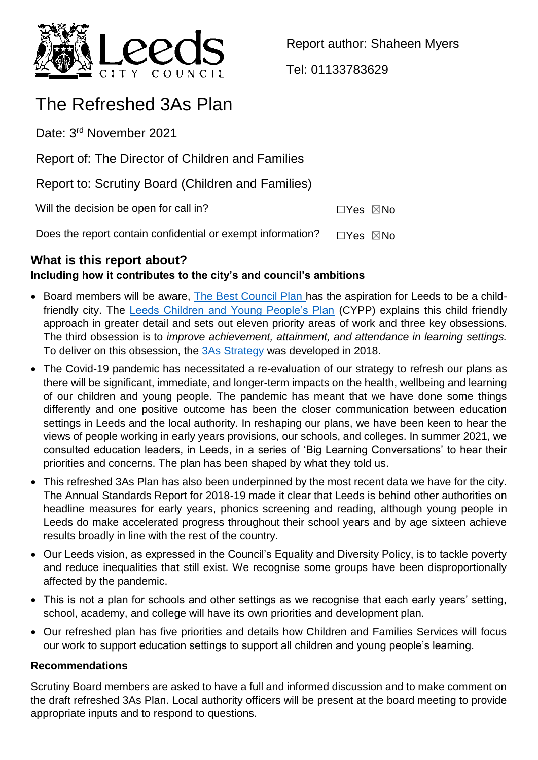

Report author: Shaheen Myers

Tel: 01133783629

# The Refreshed 3As Plan

Date: 3<sup>rd</sup> November 2021

Report of: The Director of Children and Families

Report to: Scrutiny Board (Children and Families)

Will the decision be open for call in?  $\square Y$ es  $\square$ No

Does the report contain confidential or exempt information?  $\Box$ Yes  $\boxtimes$ No

# **What is this report about?**

# **Including how it contributes to the city's and council's ambitions**

- Board members will be aware, [The Best Council Plan h](https://www.leeds.gov.uk/docs/BCP%202020-2025.PDF)as the aspiration for Leeds to be a childfriendly city. The [Leeds Children and Young People's Plan](https://www.leeds.gov.uk/childfriendlyleeds/Documents/CMT18-022%20Childrens%20and%20YP%20Plan%2018-23.pdf) (CYPP) explains this child friendly approach in greater detail and sets out eleven priority areas of work and three key obsessions. The third obsession is to *improve achievement, attainment, and attendance in learning settings.*  To deliver on this obsession, the [3As Strategy](https://www.leedsforlearning.co.uk/Page/15548) was developed in 2018.
- The Covid-19 pandemic has necessitated a re-evaluation of our strategy to refresh our plans as there will be significant, immediate, and longer-term impacts on the health, wellbeing and learning of our children and young people. The pandemic has meant that we have done some things differently and one positive outcome has been the closer communication between education settings in Leeds and the local authority. In reshaping our plans, we have been keen to hear the views of people working in early years provisions, our schools, and colleges. In summer 2021, we consulted education leaders, in Leeds, in a series of 'Big Learning Conversations' to hear their priorities and concerns. The plan has been shaped by what they told us.
- This refreshed 3As Plan has also been underpinned by the most recent data we have for the city. The Annual Standards Report for 2018-19 made it clear that Leeds is behind other authorities on headline measures for early years, phonics screening and reading, although young people in Leeds do make accelerated progress throughout their school years and by age sixteen achieve results broadly in line with the rest of the country.
- Our Leeds vision, as expressed in the Council's Equality and Diversity Policy, is to tackle poverty and reduce inequalities that still exist. We recognise some groups have been disproportionally affected by the pandemic.
- This is not a plan for schools and other settings as we recognise that each early years' setting, school, academy, and college will have its own priorities and development plan.
- Our refreshed plan has five priorities and details how Children and Families Services will focus our work to support education settings to support all children and young people's learning.

## **Recommendations**

Scrutiny Board members are asked to have a full and informed discussion and to make comment on the draft refreshed 3As Plan. Local authority officers will be present at the board meeting to provide appropriate inputs and to respond to questions.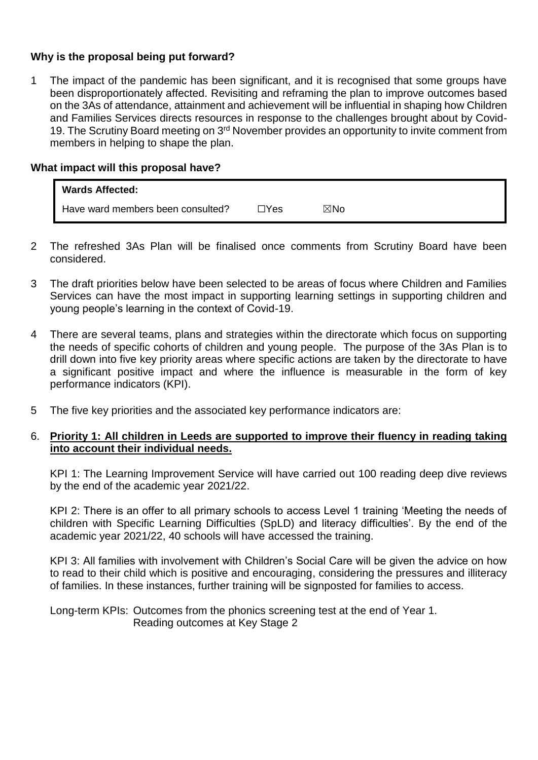#### **Why is the proposal being put forward?**

1 The impact of the pandemic has been significant, and it is recognised that some groups have been disproportionately affected. Revisiting and reframing the plan to improve outcomes based on the 3As of attendance, attainment and achievement will be influential in shaping how Children and Families Services directs resources in response to the challenges brought about by Covid-19. The Scrutiny Board meeting on 3<sup>rd</sup> November provides an opportunity to invite comment from members in helping to shape the plan.

#### **What impact will this proposal have?**

| <b>Wards Affected:</b>            |      |                |
|-----------------------------------|------|----------------|
| Have ward members been consulted? | ∃Yes | $\boxtimes$ No |

- 2 The refreshed 3As Plan will be finalised once comments from Scrutiny Board have been considered.
- 3 The draft priorities below have been selected to be areas of focus where Children and Families Services can have the most impact in supporting learning settings in supporting children and young people's learning in the context of Covid-19.
- 4 There are several teams, plans and strategies within the directorate which focus on supporting the needs of specific cohorts of children and young people. The purpose of the 3As Plan is to drill down into five key priority areas where specific actions are taken by the directorate to have a significant positive impact and where the influence is measurable in the form of key performance indicators (KPI).
- 5 The five key priorities and the associated key performance indicators are:

#### 6. **Priority 1: All children in Leeds are supported to improve their fluency in reading taking into account their individual needs.**

KPI 1: The Learning Improvement Service will have carried out 100 reading deep dive reviews by the end of the academic year 2021/22.

KPI 2: There is an offer to all primary schools to access Level 1 training 'Meeting the needs of children with Specific Learning Difficulties (SpLD) and literacy difficulties'. By the end of the academic year 2021/22, 40 schools will have accessed the training.

KPI 3: All families with involvement with Children's Social Care will be given the advice on how to read to their child which is positive and encouraging, considering the pressures and illiteracy of families. In these instances, further training will be signposted for families to access.

Long-term KPIs: Outcomes from the phonics screening test at the end of Year 1. Reading outcomes at Key Stage 2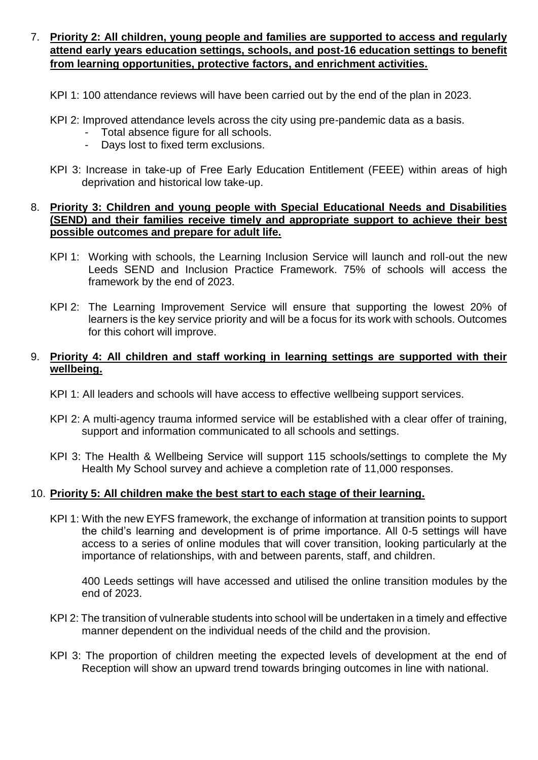- 7. **Priority 2: All children, young people and families are supported to access and regularly attend early years education settings, schools, and post-16 education settings to benefit from learning opportunities, protective factors, and enrichment activities.**
	- KPI 1: 100 attendance reviews will have been carried out by the end of the plan in 2023.
	- KPI 2: Improved attendance levels across the city using pre-pandemic data as a basis.
		- Total absence figure for all schools.
		- Days lost to fixed term exclusions.
	- KPI 3: Increase in take-up of Free Early Education Entitlement (FEEE) within areas of high deprivation and historical low take-up.

#### 8. **Priority 3: Children and young people with Special Educational Needs and Disabilities (SEND) and their families receive timely and appropriate support to achieve their best possible outcomes and prepare for adult life.**

- KPI 1: Working with schools, the Learning Inclusion Service will launch and roll-out the new Leeds SEND and Inclusion Practice Framework. 75% of schools will access the framework by the end of 2023.
- KPI 2: The Learning Improvement Service will ensure that supporting the lowest 20% of learners is the key service priority and will be a focus for its work with schools. Outcomes for this cohort will improve.

#### 9. **Priority 4: All children and staff working in learning settings are supported with their wellbeing.**

- KPI 1: All leaders and schools will have access to effective wellbeing support services.
- KPI 2: A multi-agency trauma informed service will be established with a clear offer of training, support and information communicated to all schools and settings.
- KPI 3: The Health & Wellbeing Service will support 115 schools/settings to complete the My Health My School survey and achieve a completion rate of 11,000 responses.

#### 10. **Priority 5: All children make the best start to each stage of their learning.**

KPI 1: With the new EYFS framework, the exchange of information at transition points to support the child's learning and development is of prime importance. All 0-5 settings will have access to a series of online modules that will cover transition, looking particularly at the importance of relationships, with and between parents, staff, and children.

400 Leeds settings will have accessed and utilised the online transition modules by the end of 2023.

- KPI 2: The transition of vulnerable students into school will be undertaken in a timely and effective manner dependent on the individual needs of the child and the provision.
- KPI 3: The proportion of children meeting the expected levels of development at the end of Reception will show an upward trend towards bringing outcomes in line with national.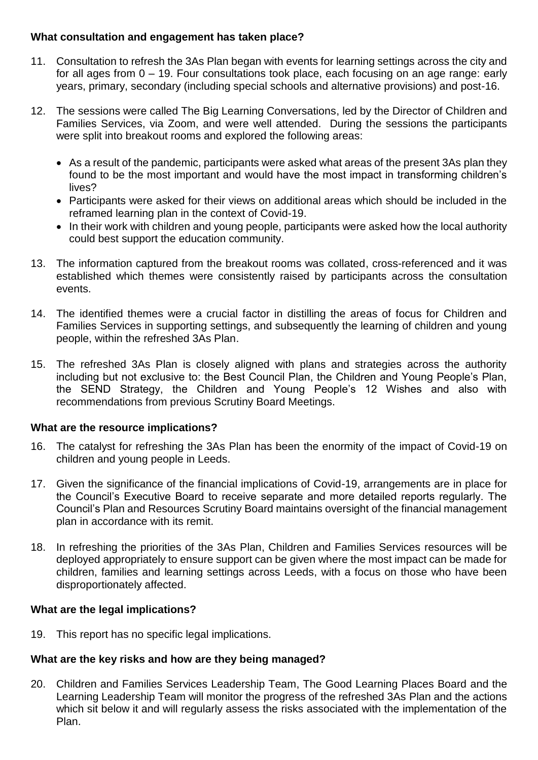#### **What consultation and engagement has taken place?**

- 11. Consultation to refresh the 3As Plan began with events for learning settings across the city and for all ages from 0 – 19. Four consultations took place, each focusing on an age range: early years, primary, secondary (including special schools and alternative provisions) and post-16.
- 12. The sessions were called The Big Learning Conversations, led by the Director of Children and Families Services, via Zoom, and were well attended. During the sessions the participants were split into breakout rooms and explored the following areas:
	- As a result of the pandemic, participants were asked what areas of the present 3As plan they found to be the most important and would have the most impact in transforming children's lives?
	- Participants were asked for their views on additional areas which should be included in the reframed learning plan in the context of Covid-19.
	- In their work with children and young people, participants were asked how the local authority could best support the education community.
- 13. The information captured from the breakout rooms was collated, cross-referenced and it was established which themes were consistently raised by participants across the consultation events.
- 14. The identified themes were a crucial factor in distilling the areas of focus for Children and Families Services in supporting settings, and subsequently the learning of children and young people, within the refreshed 3As Plan.
- 15. The refreshed 3As Plan is closely aligned with plans and strategies across the authority including but not exclusive to: the Best Council Plan, the Children and Young People's Plan, the SEND Strategy, the Children and Young People's 12 Wishes and also with recommendations from previous Scrutiny Board Meetings.

## **What are the resource implications?**

- 16. The catalyst for refreshing the 3As Plan has been the enormity of the impact of Covid-19 on children and young people in Leeds.
- 17. Given the significance of the financial implications of Covid-19, arrangements are in place for the Council's Executive Board to receive separate and more detailed reports regularly. The Council's Plan and Resources Scrutiny Board maintains oversight of the financial management plan in accordance with its remit.
- 18. In refreshing the priorities of the 3As Plan, Children and Families Services resources will be deployed appropriately to ensure support can be given where the most impact can be made for children, families and learning settings across Leeds, with a focus on those who have been disproportionately affected.

## **What are the legal implications?**

19. This report has no specific legal implications.

## **What are the key risks and how are they being managed?**

20. Children and Families Services Leadership Team, The Good Learning Places Board and the Learning Leadership Team will monitor the progress of the refreshed 3As Plan and the actions which sit below it and will regularly assess the risks associated with the implementation of the Plan.